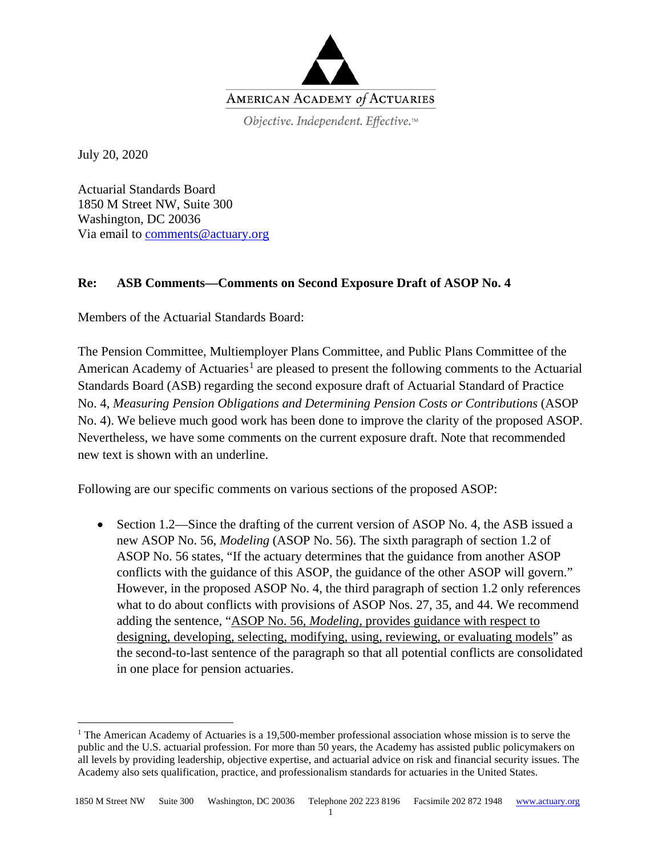

July 20, 2020

Actuarial Standards Board 1850 M Street NW, Suite 300 Washington, DC 20036 Via email to [comments@actuary.org](mailto:comments@actuary.org)

## **Re: ASB Comments—Comments on Second Exposure Draft of ASOP No. 4**

Members of the Actuarial Standards Board:

The Pension Committee, Multiemployer Plans Committee, and Public Plans Committee of the American Academy of Actuaries<sup>[1](#page-0-0)</sup> are pleased to present the following comments to the Actuarial Standards Board (ASB) regarding the second exposure draft of Actuarial Standard of Practice No. 4, *Measuring Pension Obligations and Determining Pension Costs or Contributions* (ASOP No. 4). We believe much good work has been done to improve the clarity of the proposed ASOP. Nevertheless, we have some comments on the current exposure draft. Note that recommended new text is shown with an underline.

Following are our specific comments on various sections of the proposed ASOP:

• Section 1.2—Since the drafting of the current version of ASOP No. 4, the ASB issued a new ASOP No. 56, *Modeling* (ASOP No. 56). The sixth paragraph of section 1.2 of ASOP No. 56 states, "If the actuary determines that the guidance from another ASOP conflicts with the guidance of this ASOP, the guidance of the other ASOP will govern." However, in the proposed ASOP No. 4, the third paragraph of section 1.2 only references what to do about conflicts with provisions of ASOP Nos. 27, 35, and 44. We recommend adding the sentence, "ASOP No. 56, *Modeling,* provides guidance with respect to designing, developing, selecting, modifying, using, reviewing, or evaluating models" as the second-to-last sentence of the paragraph so that all potential conflicts are consolidated in one place for pension actuaries.

<span id="page-0-0"></span><sup>&</sup>lt;sup>1</sup> The American Academy of Actuaries is a 19,500-member professional association whose mission is to serve the public and the U.S. actuarial profession. For more than 50 years, the Academy has assisted public policymakers on all levels by providing leadership, objective expertise, and actuarial advice on risk and financial security issues. The Academy also sets qualification, practice, and professionalism standards for actuaries in the United States.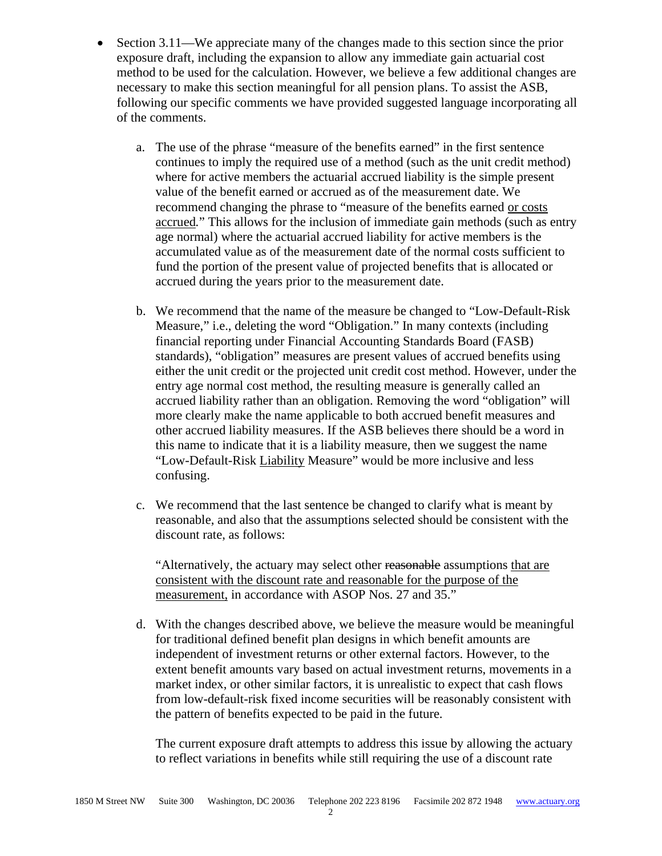- Section 3.11—We appreciate many of the changes made to this section since the prior exposure draft, including the expansion to allow any immediate gain actuarial cost method to be used for the calculation. However, we believe a few additional changes are necessary to make this section meaningful for all pension plans. To assist the ASB, following our specific comments we have provided suggested language incorporating all of the comments.
	- a. The use of the phrase "measure of the benefits earned" in the first sentence continues to imply the required use of a method (such as the unit credit method) where for active members the actuarial accrued liability is the simple present value of the benefit earned or accrued as of the measurement date. We recommend changing the phrase to "measure of the benefits earned or costs accrued*.*" This allows for the inclusion of immediate gain methods (such as entry age normal) where the actuarial accrued liability for active members is the accumulated value as of the measurement date of the normal costs sufficient to fund the portion of the present value of projected benefits that is allocated or accrued during the years prior to the measurement date.
	- b. We recommend that the name of the measure be changed to "Low-Default-Risk Measure," i.e., deleting the word "Obligation." In many contexts (including financial reporting under Financial Accounting Standards Board (FASB) standards), "obligation" measures are present values of accrued benefits using either the unit credit or the projected unit credit cost method. However, under the entry age normal cost method, the resulting measure is generally called an accrued liability rather than an obligation. Removing the word "obligation" will more clearly make the name applicable to both accrued benefit measures and other accrued liability measures. If the ASB believes there should be a word in this name to indicate that it is a liability measure, then we suggest the name "Low-Default-Risk Liability Measure" would be more inclusive and less confusing.
	- c. We recommend that the last sentence be changed to clarify what is meant by reasonable, and also that the assumptions selected should be consistent with the discount rate, as follows:

"Alternatively, the actuary may select other reasonable assumptions that are consistent with the discount rate and reasonable for the purpose of the measurement, in accordance with ASOP Nos. 27 and 35."

d. With the changes described above, we believe the measure would be meaningful for traditional defined benefit plan designs in which benefit amounts are independent of investment returns or other external factors. However, to the extent benefit amounts vary based on actual investment returns, movements in a market index, or other similar factors, it is unrealistic to expect that cash flows from low-default-risk fixed income securities will be reasonably consistent with the pattern of benefits expected to be paid in the future.

The current exposure draft attempts to address this issue by allowing the actuary to reflect variations in benefits while still requiring the use of a discount rate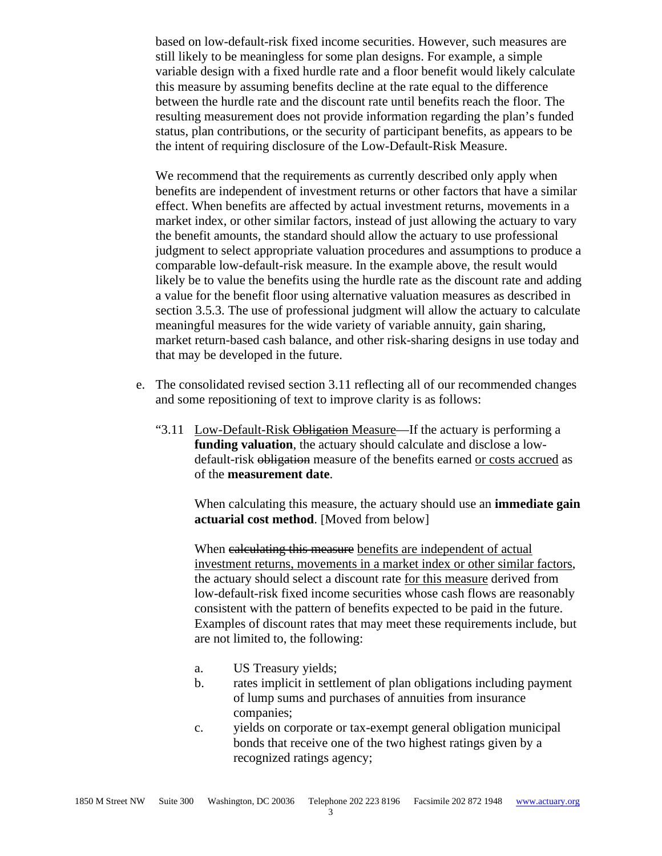based on low-default-risk fixed income securities. However, such measures are still likely to be meaningless for some plan designs. For example, a simple variable design with a fixed hurdle rate and a floor benefit would likely calculate this measure by assuming benefits decline at the rate equal to the difference between the hurdle rate and the discount rate until benefits reach the floor. The resulting measurement does not provide information regarding the plan's funded status, plan contributions, or the security of participant benefits, as appears to be the intent of requiring disclosure of the Low-Default-Risk Measure.

We recommend that the requirements as currently described only apply when benefits are independent of investment returns or other factors that have a similar effect. When benefits are affected by actual investment returns, movements in a market index, or other similar factors, instead of just allowing the actuary to vary the benefit amounts, the standard should allow the actuary to use professional judgment to select appropriate valuation procedures and assumptions to produce a comparable low-default-risk measure. In the example above, the result would likely be to value the benefits using the hurdle rate as the discount rate and adding a value for the benefit floor using alternative valuation measures as described in section 3.5.3. The use of professional judgment will allow the actuary to calculate meaningful measures for the wide variety of variable annuity, gain sharing, market return-based cash balance, and other risk-sharing designs in use today and that may be developed in the future.

- e. The consolidated revised section 3.11 reflecting all of our recommended changes and some repositioning of text to improve clarity is as follows:
	- "3.11 Low-Default-Risk Obligation Measure—If the actuary is performing a **funding valuation**, the actuary should calculate and disclose a lowdefault-risk obligation measure of the benefits earned or costs accrued as of the **measurement date**.

When calculating this measure, the actuary should use an **immediate gain actuarial cost method**. [Moved from below]

When calculating this measure benefits are independent of actual investment returns, movements in a market index or other similar factors, the actuary should select a discount rate for this measure derived from low-default-risk fixed income securities whose cash flows are reasonably consistent with the pattern of benefits expected to be paid in the future. Examples of discount rates that may meet these requirements include, but are not limited to, the following:

- a. US Treasury yields;
- b. rates implicit in settlement of plan obligations including payment of lump sums and purchases of annuities from insurance companies;
- c. yields on corporate or tax-exempt general obligation municipal bonds that receive one of the two highest ratings given by a recognized ratings agency;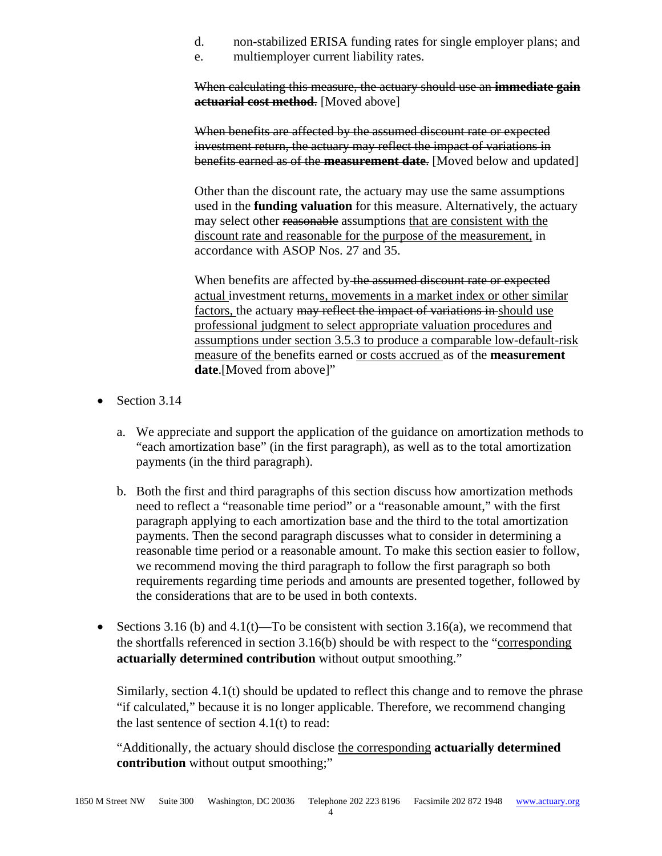- d. non-stabilized ERISA funding rates for single employer plans; and
- e. multiemployer current liability rates.

When calculating this measure, the actuary should use an **immediate gain actuarial cost method**. [Moved above]

When benefits are affected by the assumed discount rate or expected investment return, the actuary may reflect the impact of variations in benefits earned as of the **measurement date**. [Moved below and updated]

Other than the discount rate, the actuary may use the same assumptions used in the **funding valuation** for this measure. Alternatively, the actuary may select other reasonable assumptions that are consistent with the discount rate and reasonable for the purpose of the measurement, in accordance with ASOP Nos. 27 and 35.

When benefits are affected by the assumed discount rate or expected actual investment returns, movements in a market index or other similar factors, the actuary may reflect the impact of variations in should use professional judgment to select appropriate valuation procedures and assumptions under section 3.5.3 to produce a comparable low-default-risk measure of the benefits earned or costs accrued as of the **measurement date**.[Moved from above]"

- Section 3.14
	- a. We appreciate and support the application of the guidance on amortization methods to "each amortization base" (in the first paragraph), as well as to the total amortization payments (in the third paragraph).
	- b. Both the first and third paragraphs of this section discuss how amortization methods need to reflect a "reasonable time period" or a "reasonable amount," with the first paragraph applying to each amortization base and the third to the total amortization payments. Then the second paragraph discusses what to consider in determining a reasonable time period or a reasonable amount. To make this section easier to follow, we recommend moving the third paragraph to follow the first paragraph so both requirements regarding time periods and amounts are presented together, followed by the considerations that are to be used in both contexts.
- Sections 3.16 (b) and 4.1(t)—To be consistent with section 3.16(a), we recommend that the shortfalls referenced in section 3.16(b) should be with respect to the "corresponding **actuarially determined contribution** without output smoothing."

Similarly, section 4.1(t) should be updated to reflect this change and to remove the phrase "if calculated," because it is no longer applicable. Therefore, we recommend changing the last sentence of section 4.1(t) to read:

"Additionally, the actuary should disclose the corresponding **actuarially determined contribution** without output smoothing;"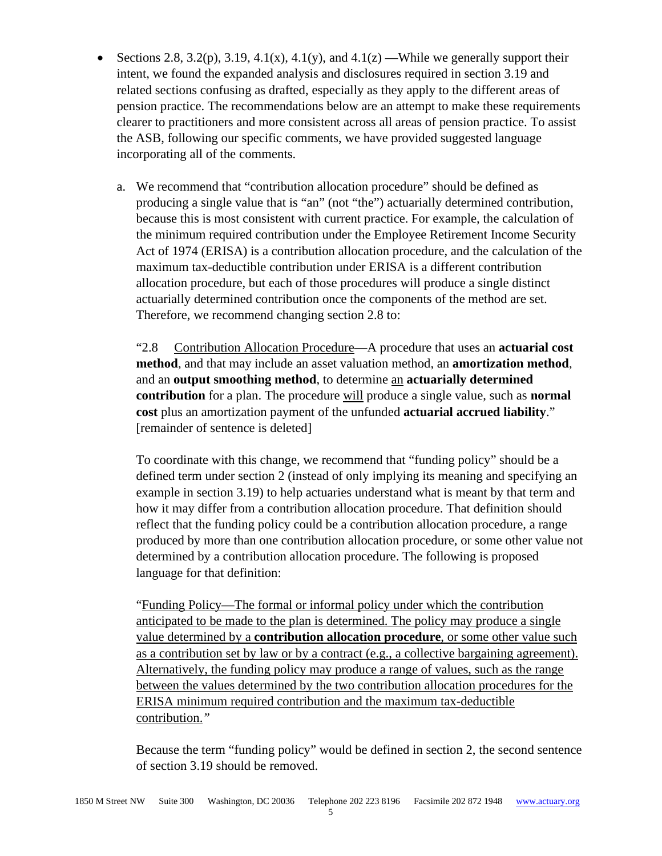- Sections 2.8, 3.2(p), 3.19, 4.1(x), 4.1(y), and 4.1(z) —While we generally support their intent, we found the expanded analysis and disclosures required in section 3.19 and related sections confusing as drafted, especially as they apply to the different areas of pension practice. The recommendations below are an attempt to make these requirements clearer to practitioners and more consistent across all areas of pension practice. To assist the ASB, following our specific comments, we have provided suggested language incorporating all of the comments.
	- a. We recommend that "contribution allocation procedure" should be defined as producing a single value that is "an" (not "the") actuarially determined contribution, because this is most consistent with current practice. For example, the calculation of the minimum required contribution under the Employee Retirement Income Security Act of 1974 (ERISA) is a contribution allocation procedure, and the calculation of the maximum tax-deductible contribution under ERISA is a different contribution allocation procedure, but each of those procedures will produce a single distinct actuarially determined contribution once the components of the method are set. Therefore, we recommend changing section 2.8 to:

"2.8 Contribution Allocation Procedure—A procedure that uses an **actuarial cost method**, and that may include an asset valuation method, an **amortization method**, and an **output smoothing method**, to determine an **actuarially determined contribution** for a plan. The procedure will produce a single value, such as **normal cost** plus an amortization payment of the unfunded **actuarial accrued liability**." [remainder of sentence is deleted]

To coordinate with this change, we recommend that "funding policy" should be a defined term under section 2 (instead of only implying its meaning and specifying an example in section 3.19) to help actuaries understand what is meant by that term and how it may differ from a contribution allocation procedure. That definition should reflect that the funding policy could be a contribution allocation procedure, a range produced by more than one contribution allocation procedure, or some other value not determined by a contribution allocation procedure. The following is proposed language for that definition:

"Funding Policy—The formal or informal policy under which the contribution anticipated to be made to the plan is determined. The policy may produce a single value determined by a **contribution allocation procedure**, or some other value such as a contribution set by law or by a contract (e.g., a collective bargaining agreement). Alternatively, the funding policy may produce a range of values, such as the range between the values determined by the two contribution allocation procedures for the ERISA minimum required contribution and the maximum tax-deductible contribution.*"*

Because the term "funding policy" would be defined in section 2, the second sentence of section 3.19 should be removed.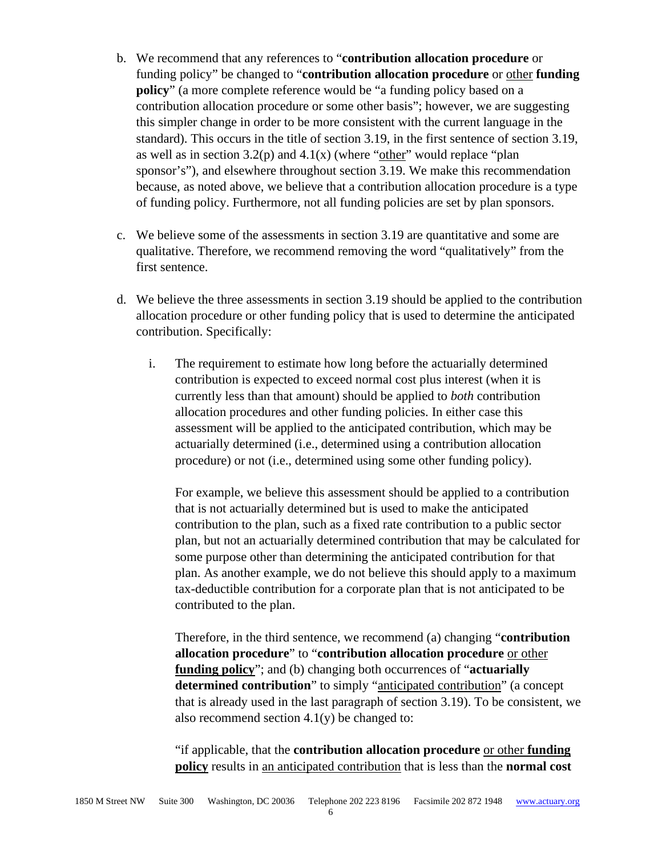- b. We recommend that any references to "**contribution allocation procedure** or funding policy" be changed to "**contribution allocation procedure** or other **funding policy**" (a more complete reference would be "a funding policy based on a contribution allocation procedure or some other basis"; however, we are suggesting this simpler change in order to be more consistent with the current language in the standard). This occurs in the title of section 3.19, in the first sentence of section 3.19, as well as in section  $3.2(p)$  and  $4.1(x)$  (where "other" would replace "plan sponsor's"), and elsewhere throughout section 3.19. We make this recommendation because, as noted above, we believe that a contribution allocation procedure is a type of funding policy. Furthermore, not all funding policies are set by plan sponsors.
- c. We believe some of the assessments in section 3.19 are quantitative and some are qualitative. Therefore, we recommend removing the word "qualitatively" from the first sentence.
- d. We believe the three assessments in section 3.19 should be applied to the contribution allocation procedure or other funding policy that is used to determine the anticipated contribution. Specifically:
	- i. The requirement to estimate how long before the actuarially determined contribution is expected to exceed normal cost plus interest (when it is currently less than that amount) should be applied to *both* contribution allocation procedures and other funding policies. In either case this assessment will be applied to the anticipated contribution, which may be actuarially determined (i.e., determined using a contribution allocation procedure) or not (i.e., determined using some other funding policy).

For example, we believe this assessment should be applied to a contribution that is not actuarially determined but is used to make the anticipated contribution to the plan, such as a fixed rate contribution to a public sector plan, but not an actuarially determined contribution that may be calculated for some purpose other than determining the anticipated contribution for that plan. As another example, we do not believe this should apply to a maximum tax-deductible contribution for a corporate plan that is not anticipated to be contributed to the plan.

Therefore, in the third sentence, we recommend (a) changing "**contribution allocation procedure**" to "**contribution allocation procedure** or other **funding policy**"; and (b) changing both occurrences of "**actuarially determined contribution**" to simply "anticipated contribution" (a concept that is already used in the last paragraph of section 3.19). To be consistent, we also recommend section  $4.1(y)$  be changed to:

"if applicable, that the **contribution allocation procedure** or other **funding policy** results in an anticipated contribution that is less than the **normal cost**

6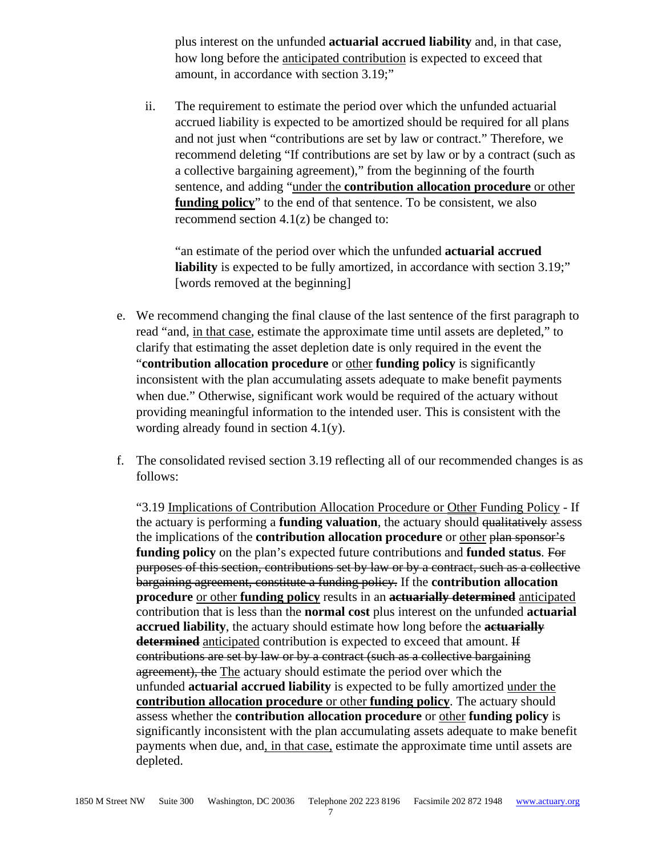plus interest on the unfunded **actuarial accrued liability** and, in that case, how long before the anticipated contribution is expected to exceed that amount, in accordance with section 3.19;"

ii. The requirement to estimate the period over which the unfunded actuarial accrued liability is expected to be amortized should be required for all plans and not just when "contributions are set by law or contract." Therefore, we recommend deleting "If contributions are set by law or by a contract (such as a collective bargaining agreement)," from the beginning of the fourth sentence, and adding "under the **contribution allocation procedure** or other **funding policy**" to the end of that sentence. To be consistent, we also recommend section  $4.1(z)$  be changed to:

"an estimate of the period over which the unfunded **actuarial accrued liability** is expected to be fully amortized, in accordance with section 3.19;" [words removed at the beginning]

- e. We recommend changing the final clause of the last sentence of the first paragraph to read "and, in that case*,* estimate the approximate time until assets are depleted," to clarify that estimating the asset depletion date is only required in the event the "**contribution allocation procedure** or other **funding policy** is significantly inconsistent with the plan accumulating assets adequate to make benefit payments when due." Otherwise, significant work would be required of the actuary without providing meaningful information to the intended user. This is consistent with the wording already found in section 4.1(y).
- f. The consolidated revised section 3.19 reflecting all of our recommended changes is as follows:

"3.19 Implications of Contribution Allocation Procedure or Other Funding Policy - If the actuary is performing a **funding valuation**, the actuary should qualitatively assess the implications of the **contribution allocation procedure** or other plan sponsor's **funding policy** on the plan's expected future contributions and **funded status**. For purposes of this section, contributions set by law or by a contract, such as a collective bargaining agreement, constitute a funding policy. If the **contribution allocation procedure** or other **funding policy** results in an **actuarially determined** anticipated contribution that is less than the **normal cost** plus interest on the unfunded **actuarial accrued liability**, the actuary should estimate how long before the **actuarially determined** anticipated contribution is expected to exceed that amount. If contributions are set by law or by a contract (such as a collective bargaining agreement), the The actuary should estimate the period over which the unfunded **actuarial accrued liability** is expected to be fully amortized under the **contribution allocation procedure** or other **funding policy**. The actuary should assess whether the **contribution allocation procedure** or other **funding policy** is significantly inconsistent with the plan accumulating assets adequate to make benefit payments when due, and, in that case, estimate the approximate time until assets are depleted.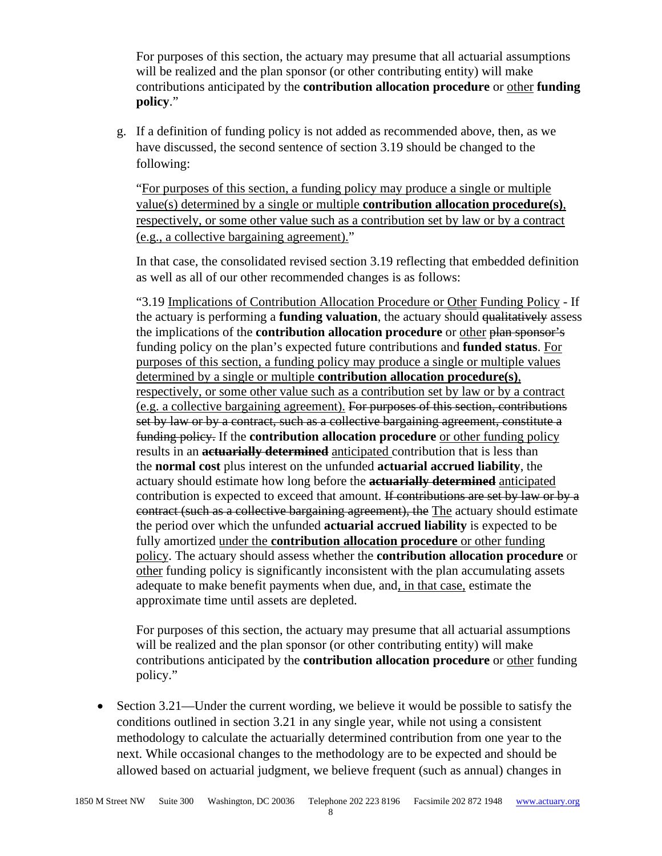For purposes of this section, the actuary may presume that all actuarial assumptions will be realized and the plan sponsor (or other contributing entity) will make contributions anticipated by the **contribution allocation procedure** or other **funding policy**."

g. If a definition of funding policy is not added as recommended above, then, as we have discussed, the second sentence of section 3.19 should be changed to the following:

"For purposes of this section, a funding policy may produce a single or multiple value(s) determined by a single or multiple **contribution allocation procedure(s)**, respectively, or some other value such as a contribution set by law or by a contract (e.g., a collective bargaining agreement)."

In that case, the consolidated revised section 3.19 reflecting that embedded definition as well as all of our other recommended changes is as follows:

"3.19 Implications of Contribution Allocation Procedure or Other Funding Policy - If the actuary is performing a **funding valuation**, the actuary should <del>qualitatively</del> assess the implications of the **contribution allocation procedure** or other plan sponsor's funding policy on the plan's expected future contributions and **funded status**. For purposes of this section, a funding policy may produce a single or multiple values determined by a single or multiple **contribution allocation procedure(s)**, respectively, or some other value such as a contribution set by law or by a contract (e.g. a collective bargaining agreement). For purposes of this section, contributions set by law or by a contract, such as a collective bargaining agreement, constitute a funding policy. If the **contribution allocation procedure** or other funding policy results in an **actuarially determined** anticipated contribution that is less than the **normal cost** plus interest on the unfunded **actuarial accrued liability**, the actuary should estimate how long before the **actuarially determined** anticipated contribution is expected to exceed that amount. If contributions are set by law or by a contract (such as a collective bargaining agreement), the The actuary should estimate the period over which the unfunded **actuarial accrued liability** is expected to be fully amortized under the **contribution allocation procedure** or other funding policy. The actuary should assess whether the **contribution allocation procedure** or other funding policy is significantly inconsistent with the plan accumulating assets adequate to make benefit payments when due, and, in that case, estimate the approximate time until assets are depleted.

For purposes of this section, the actuary may presume that all actuarial assumptions will be realized and the plan sponsor (or other contributing entity) will make contributions anticipated by the **contribution allocation procedure** or other funding policy."

• Section 3.21—Under the current wording, we believe it would be possible to satisfy the conditions outlined in section 3.21 in any single year, while not using a consistent methodology to calculate the actuarially determined contribution from one year to the next. While occasional changes to the methodology are to be expected and should be allowed based on actuarial judgment, we believe frequent (such as annual) changes in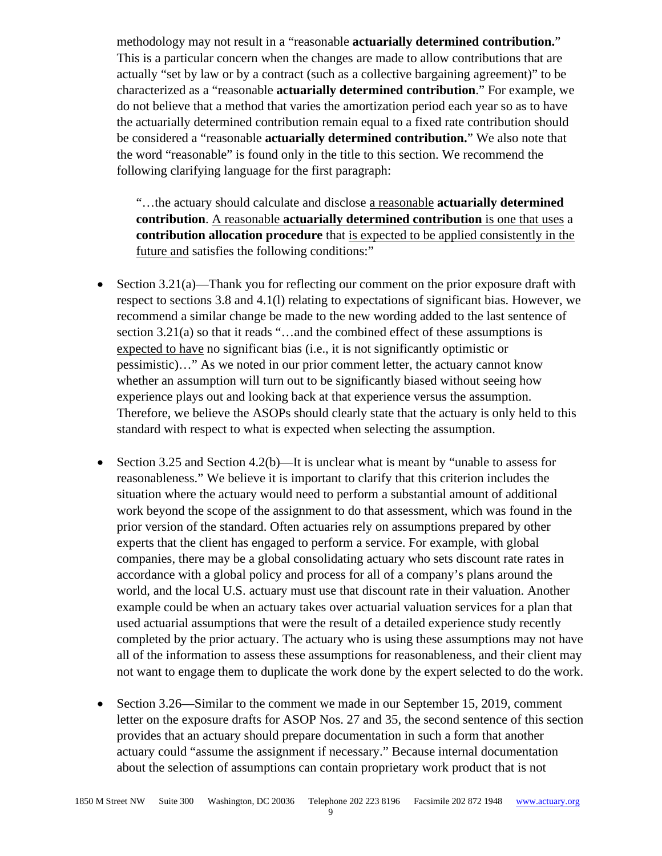methodology may not result in a "reasonable **actuarially determined contribution.**" This is a particular concern when the changes are made to allow contributions that are actually "set by law or by a contract (such as a collective bargaining agreement)" to be characterized as a "reasonable **actuarially determined contribution**." For example, we do not believe that a method that varies the amortization period each year so as to have the actuarially determined contribution remain equal to a fixed rate contribution should be considered a "reasonable **actuarially determined contribution.**" We also note that the word "reasonable" is found only in the title to this section. We recommend the following clarifying language for the first paragraph:

"…the actuary should calculate and disclose a reasonable **actuarially determined contribution**. A reasonable **actuarially determined contribution** is one that uses a **contribution allocation procedure** that is expected to be applied consistently in the future and satisfies the following conditions:"

- Section 3.21(a)—Thank you for reflecting our comment on the prior exposure draft with respect to sections 3.8 and 4.1(l) relating to expectations of significant bias. However, we recommend a similar change be made to the new wording added to the last sentence of section 3.21(a) so that it reads "...and the combined effect of these assumptions is expected to have no significant bias (i.e., it is not significantly optimistic or pessimistic)…" As we noted in our prior comment letter, the actuary cannot know whether an assumption will turn out to be significantly biased without seeing how experience plays out and looking back at that experience versus the assumption. Therefore, we believe the ASOPs should clearly state that the actuary is only held to this standard with respect to what is expected when selecting the assumption.
- Section 3.25 and Section 4.2(b)—It is unclear what is meant by "unable to assess for reasonableness." We believe it is important to clarify that this criterion includes the situation where the actuary would need to perform a substantial amount of additional work beyond the scope of the assignment to do that assessment, which was found in the prior version of the standard. Often actuaries rely on assumptions prepared by other experts that the client has engaged to perform a service. For example, with global companies, there may be a global consolidating actuary who sets discount rate rates in accordance with a global policy and process for all of a company's plans around the world, and the local U.S. actuary must use that discount rate in their valuation. Another example could be when an actuary takes over actuarial valuation services for a plan that used actuarial assumptions that were the result of a detailed experience study recently completed by the prior actuary. The actuary who is using these assumptions may not have all of the information to assess these assumptions for reasonableness, and their client may not want to engage them to duplicate the work done by the expert selected to do the work.
- Section 3.26—Similar to the comment we made in our September 15, 2019, comment letter on the exposure drafts for ASOP Nos. 27 and 35, the second sentence of this section provides that an actuary should prepare documentation in such a form that another actuary could "assume the assignment if necessary." Because internal documentation about the selection of assumptions can contain proprietary work product that is not

9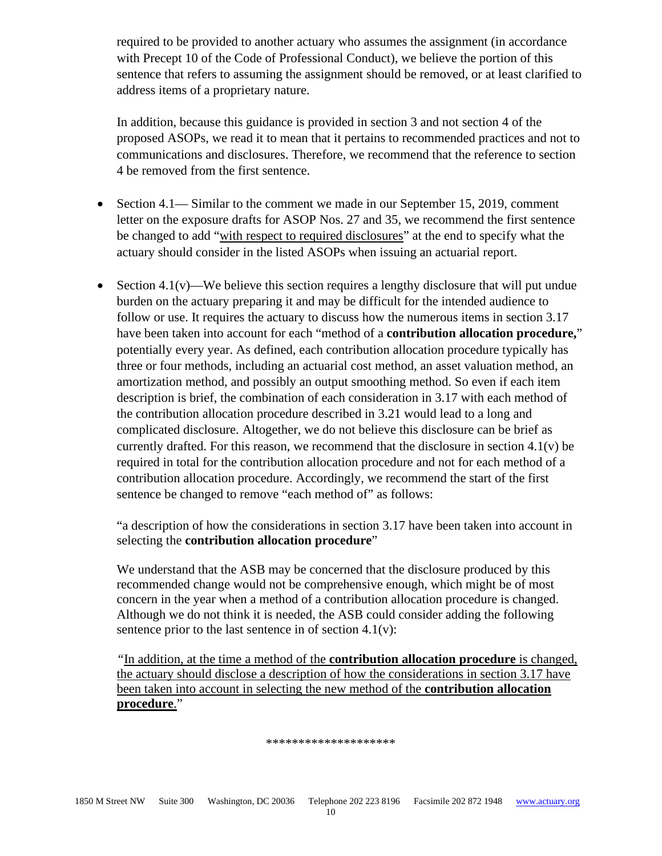required to be provided to another actuary who assumes the assignment (in accordance with Precept 10 of the Code of Professional Conduct), we believe the portion of this sentence that refers to assuming the assignment should be removed, or at least clarified to address items of a proprietary nature.

In addition, because this guidance is provided in section 3 and not section 4 of the proposed ASOPs, we read it to mean that it pertains to recommended practices and not to communications and disclosures. Therefore, we recommend that the reference to section 4 be removed from the first sentence.

- Section 4.1— Similar to the comment we made in our September 15, 2019, comment letter on the exposure drafts for ASOP Nos. 27 and 35, we recommend the first sentence be changed to add "with respect to required disclosures" at the end to specify what the actuary should consider in the listed ASOPs when issuing an actuarial report.
- Section 4.1(v)—We believe this section requires a lengthy disclosure that will put undue burden on the actuary preparing it and may be difficult for the intended audience to follow or use. It requires the actuary to discuss how the numerous items in section 3.17 have been taken into account for each "method of a **contribution allocation procedure,**" potentially every year. As defined, each contribution allocation procedure typically has three or four methods, including an actuarial cost method, an asset valuation method, an amortization method, and possibly an output smoothing method. So even if each item description is brief, the combination of each consideration in 3.17 with each method of the contribution allocation procedure described in 3.21 would lead to a long and complicated disclosure. Altogether, we do not believe this disclosure can be brief as currently drafted. For this reason, we recommend that the disclosure in section 4.1(v) be required in total for the contribution allocation procedure and not for each method of a contribution allocation procedure. Accordingly, we recommend the start of the first sentence be changed to remove "each method of" as follows:

"a description of how the considerations in section 3.17 have been taken into account in selecting the **contribution allocation procedure**"

We understand that the ASB may be concerned that the disclosure produced by this recommended change would not be comprehensive enough, which might be of most concern in the year when a method of a contribution allocation procedure is changed. Although we do not think it is needed, the ASB could consider adding the following sentence prior to the last sentence in of section  $4.1(v)$ :

*"*In addition, at the time a method of the **contribution allocation procedure** is changed, the actuary should disclose a description of how the considerations in section 3.17 have been taken into account in selecting the new method of the **contribution allocation procedure**."

## \*\*\*\*\*\*\*\*\*\*\*\*\*\*\*\*\*\*\*\*